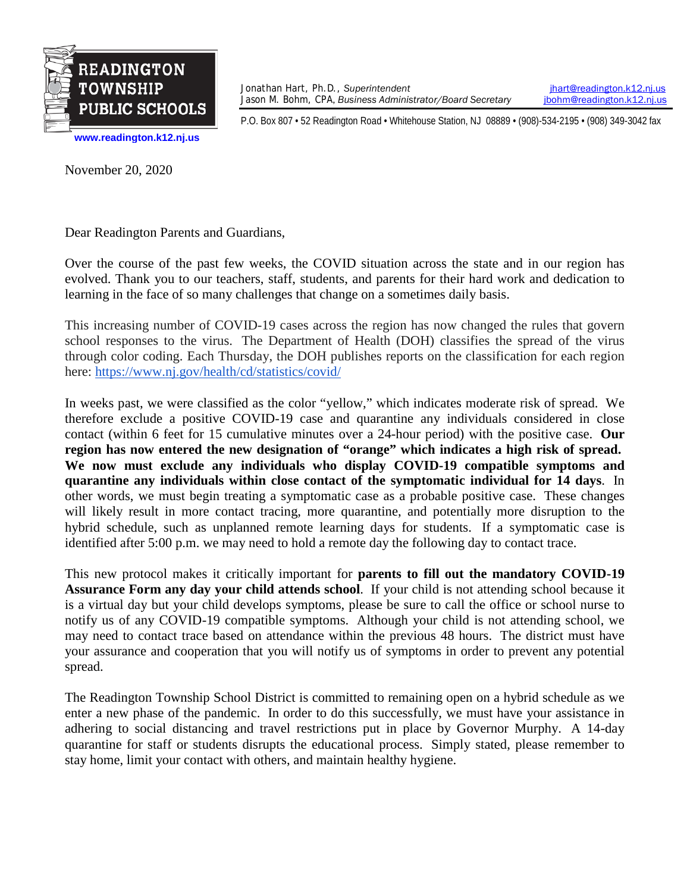

Jonathan Hart, Ph.D., *Superintendent*<br>Jason M. Bohm, CPA, *Business Administrator/Board Secretary jbohm@readington.k12.nj.us* Jason M. Bohm, CPA, *Business Administrator/Board Secretary* 

P.O. Box 807 • 52 Readington Road • Whitehouse Station, NJ 08889 • (908)-534-2195 • (908) 349-3042 fax

**[www.readington.k12.nj.us](http://www.readington.k12.nj.us/)**

November 20, 2020

Dear Readington Parents and Guardians,

Over the course of the past few weeks, the COVID situation across the state and in our region has evolved. Thank you to our teachers, staff, students, and parents for their hard work and dedication to learning in the face of so many challenges that change on a sometimes daily basis.

This increasing number of COVID-19 cases across the region has now changed the rules that govern school responses to the virus. The Department of Health (DOH) classifies the spread of the virus through color coding. Each Thursday, the DOH publishes reports on the classification for each region here: <https://www.nj.gov/health/cd/statistics/covid/>

In weeks past, we were classified as the color "yellow," which indicates moderate risk of spread. We therefore exclude a positive COVID-19 case and quarantine any individuals considered in close contact (within 6 feet for 15 cumulative minutes over a 24-hour period) with the positive case. **Our region has now entered the new designation of "orange" which indicates a high risk of spread. We now must exclude any individuals who display COVID-19 compatible symptoms and quarantine any individuals within close contact of the symptomatic individual for 14 days**. In other words, we must begin treating a symptomatic case as a probable positive case. These changes will likely result in more contact tracing, more quarantine, and potentially more disruption to the hybrid schedule, such as unplanned remote learning days for students. If a symptomatic case is identified after 5:00 p.m. we may need to hold a remote day the following day to contact trace.

This new protocol makes it critically important for **parents to fill out the mandatory COVID-19 Assurance Form any day your child attends school**. If your child is not attending school because it is a virtual day but your child develops symptoms, please be sure to call the office or school nurse to notify us of any COVID-19 compatible symptoms. Although your child is not attending school, we may need to contact trace based on attendance within the previous 48 hours. The district must have your assurance and cooperation that you will notify us of symptoms in order to prevent any potential spread.

The Readington Township School District is committed to remaining open on a hybrid schedule as we enter a new phase of the pandemic. In order to do this successfully, we must have your assistance in adhering to social distancing and travel restrictions put in place by Governor Murphy. A 14-day quarantine for staff or students disrupts the educational process. Simply stated, please remember to stay home, limit your contact with others, and maintain healthy hygiene.